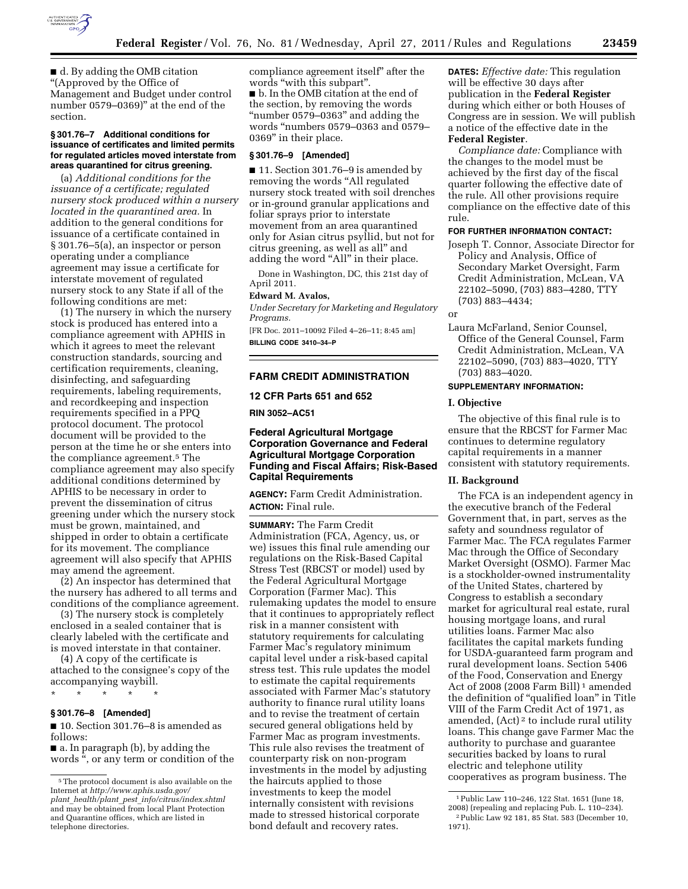

■ d. By adding the OMB citation ''(Approved by the Office of Management and Budget under control number 0579–0369)" at the end of the section.

#### **§ 301.76–7 Additional conditions for issuance of certificates and limited permits for regulated articles moved interstate from areas quarantined for citrus greening.**

(a) *Additional conditions for the issuance of a certificate; regulated nursery stock produced within a nursery located in the quarantined area.* In addition to the general conditions for issuance of a certificate contained in § 301.76–5(a), an inspector or person operating under a compliance agreement may issue a certificate for interstate movement of regulated nursery stock to any State if all of the following conditions are met:

(1) The nursery in which the nursery stock is produced has entered into a compliance agreement with APHIS in which it agrees to meet the relevant construction standards, sourcing and certification requirements, cleaning, disinfecting, and safeguarding requirements, labeling requirements, and recordkeeping and inspection requirements specified in a PPQ protocol document. The protocol document will be provided to the person at the time he or she enters into the compliance agreement.5 The compliance agreement may also specify additional conditions determined by APHIS to be necessary in order to prevent the dissemination of citrus greening under which the nursery stock must be grown, maintained, and shipped in order to obtain a certificate for its movement. The compliance agreement will also specify that APHIS may amend the agreement.

(2) An inspector has determined that the nursery has adhered to all terms and conditions of the compliance agreement.

(3) The nursery stock is completely enclosed in a sealed container that is clearly labeled with the certificate and is moved interstate in that container.

(4) A copy of the certificate is attached to the consignee's copy of the accompanying waybill.

\* \* \* \* \*

### **§ 301.76–8 [Amended]**

■ 10. Section 301.76–8 is amended as follows:

■ a. In paragraph (b), by adding the words '', or any term or condition of the compliance agreement itself'' after the words "with this subpart". ■ b. In the OMB citation at the end of the section, by removing the words "number 0579–0363" and adding the words ''numbers 0579–0363 and 0579– 0369'' in their place.

#### **§ 301.76–9 [Amended]**

■ 11. Section 301.76-9 is amended by removing the words "All regulated nursery stock treated with soil drenches or in-ground granular applications and foliar sprays prior to interstate movement from an area quarantined only for Asian citrus psyllid, but not for citrus greening, as well as all'' and adding the word "All" in their place.

Done in Washington, DC, this 21st day of April 2011.

#### **Edward M. Avalos,**

*Under Secretary for Marketing and Regulatory Programs.* 

[FR Doc. 2011–10092 Filed 4–26–11; 8:45 am] **BILLING CODE 3410–34–P** 

# **FARM CREDIT ADMINISTRATION**

### **12 CFR Parts 651 and 652**

**RIN 3052–AC51** 

## **Federal Agricultural Mortgage Corporation Governance and Federal Agricultural Mortgage Corporation Funding and Fiscal Affairs; Risk-Based Capital Requirements**

**AGENCY:** Farm Credit Administration. **ACTION:** Final rule.

**SUMMARY:** The Farm Credit Administration (FCA, Agency, us, or we) issues this final rule amending our regulations on the Risk-Based Capital Stress Test (RBCST or model) used by the Federal Agricultural Mortgage Corporation (Farmer Mac). This rulemaking updates the model to ensure that it continues to appropriately reflect risk in a manner consistent with statutory requirements for calculating Farmer Mac's regulatory minimum capital level under a risk-based capital stress test. This rule updates the model to estimate the capital requirements associated with Farmer Mac's statutory authority to finance rural utility loans and to revise the treatment of certain secured general obligations held by Farmer Mac as program investments. This rule also revises the treatment of counterparty risk on non-program investments in the model by adjusting the haircuts applied to those investments to keep the model internally consistent with revisions made to stressed historical corporate bond default and recovery rates.

**DATES:** *Effective date:* This regulation will be effective 30 days after publication in the **Federal Register**  during which either or both Houses of Congress are in session. We will publish a notice of the effective date in the **Federal Register**.

*Compliance date:* Compliance with the changes to the model must be achieved by the first day of the fiscal quarter following the effective date of the rule. All other provisions require compliance on the effective date of this rule.

### **FOR FURTHER INFORMATION CONTACT:**

Joseph T. Connor, Associate Director for Policy and Analysis, Office of Secondary Market Oversight, Farm Credit Administration, McLean, VA 22102–5090, (703) 883–4280, TTY (703) 883–4434;

or

Laura McFarland, Senior Counsel, Office of the General Counsel, Farm Credit Administration, McLean, VA 22102–5090, (703) 883–4020, TTY (703) 883–4020.

## **SUPPLEMENTARY INFORMATION:**

#### **I. Objective**

The objective of this final rule is to ensure that the RBCST for Farmer Mac continues to determine regulatory capital requirements in a manner consistent with statutory requirements.

## **II. Background**

The FCA is an independent agency in the executive branch of the Federal Government that, in part, serves as the safety and soundness regulator of Farmer Mac. The FCA regulates Farmer Mac through the Office of Secondary Market Oversight (OSMO). Farmer Mac is a stockholder-owned instrumentality of the United States, chartered by Congress to establish a secondary market for agricultural real estate, rural housing mortgage loans, and rural utilities loans. Farmer Mac also facilitates the capital markets funding for USDA-guaranteed farm program and rural development loans. Section 5406 of the Food, Conservation and Energy Act of 2008 (2008 Farm Bill) 1 amended the definition of "qualified loan" in Title VIII of the Farm Credit Act of 1971, as amended, (Act) 2 to include rural utility loans. This change gave Farmer Mac the authority to purchase and guarantee securities backed by loans to rural electric and telephone utility cooperatives as program business. The

<sup>5</sup>The protocol document is also available on the Internet at *[http://www.aphis.usda.gov/](http://www.aphis.usda.gov/plant_health/plant_pest_info/citrus/index.shtml) plant*\_*health/plant*\_*pest*\_*[info/citrus/index.shtml](http://www.aphis.usda.gov/plant_health/plant_pest_info/citrus/index.shtml)*  and may be obtained from local Plant Protection and Quarantine offices, which are listed in telephone directories.

<sup>1</sup>Public Law 110–246, 122 Stat. 1651 (June 18, 2008) (repealing and replacing Pub. L. 110–234). 2Public Law 92 181, 85 Stat. 583 (December 10, 1971).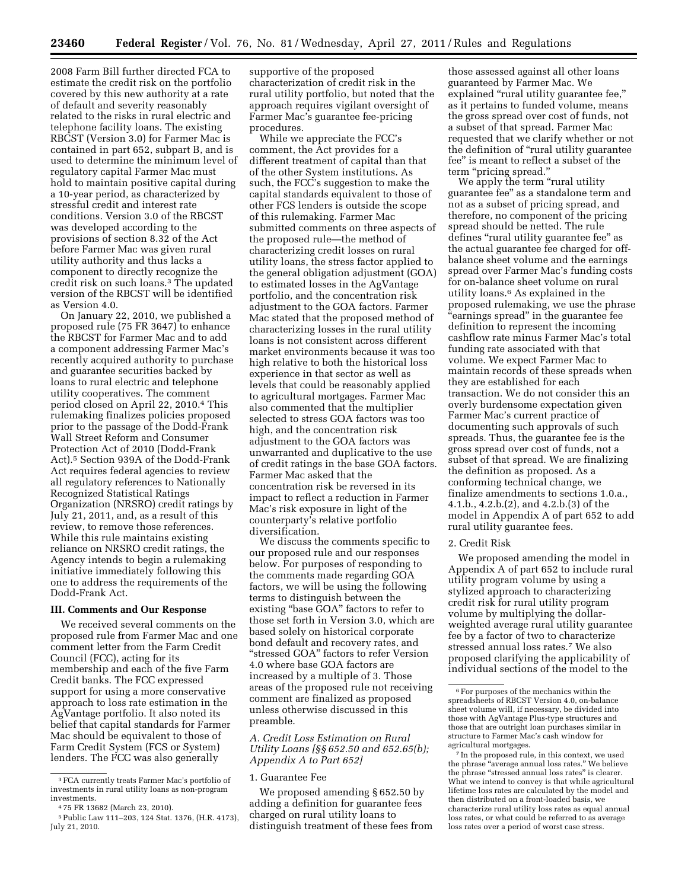2008 Farm Bill further directed FCA to estimate the credit risk on the portfolio covered by this new authority at a rate of default and severity reasonably related to the risks in rural electric and telephone facility loans. The existing RBCST (Version 3.0) for Farmer Mac is contained in part 652, subpart B, and is used to determine the minimum level of regulatory capital Farmer Mac must hold to maintain positive capital during a 10-year period, as characterized by stressful credit and interest rate conditions. Version 3.0 of the RBCST was developed according to the provisions of section 8.32 of the Act before Farmer Mac was given rural utility authority and thus lacks a component to directly recognize the credit risk on such loans.3 The updated version of the RBCST will be identified as Version 4.0.

On January 22, 2010, we published a proposed rule (75 FR 3647) to enhance the RBCST for Farmer Mac and to add a component addressing Farmer Mac's recently acquired authority to purchase and guarantee securities backed by loans to rural electric and telephone utility cooperatives. The comment period closed on April 22, 2010.4 This rulemaking finalizes policies proposed prior to the passage of the Dodd-Frank Wall Street Reform and Consumer Protection Act of 2010 (Dodd-Frank Act).5 Section 939A of the Dodd-Frank Act requires federal agencies to review all regulatory references to Nationally Recognized Statistical Ratings Organization (NRSRO) credit ratings by July 21, 2011, and, as a result of this review, to remove those references. While this rule maintains existing reliance on NRSRO credit ratings, the Agency intends to begin a rulemaking initiative immediately following this one to address the requirements of the Dodd-Frank Act.

#### **III. Comments and Our Response**

We received several comments on the proposed rule from Farmer Mac and one comment letter from the Farm Credit Council (FCC), acting for its membership and each of the five Farm Credit banks. The FCC expressed support for using a more conservative approach to loss rate estimation in the AgVantage portfolio. It also noted its belief that capital standards for Farmer Mac should be equivalent to those of Farm Credit System (FCS or System) lenders. The FCC was also generally

supportive of the proposed characterization of credit risk in the rural utility portfolio, but noted that the approach requires vigilant oversight of Farmer Mac's guarantee fee-pricing procedures.

While we appreciate the FCC's comment, the Act provides for a different treatment of capital than that of the other System institutions. As such, the FCC's suggestion to make the capital standards equivalent to those of other FCS lenders is outside the scope of this rulemaking. Farmer Mac submitted comments on three aspects of the proposed rule—the method of characterizing credit losses on rural utility loans, the stress factor applied to the general obligation adjustment (GOA) to estimated losses in the AgVantage portfolio, and the concentration risk adjustment to the GOA factors. Farmer Mac stated that the proposed method of characterizing losses in the rural utility loans is not consistent across different market environments because it was too high relative to both the historical loss experience in that sector as well as levels that could be reasonably applied to agricultural mortgages. Farmer Mac also commented that the multiplier selected to stress GOA factors was too high, and the concentration risk adjustment to the GOA factors was unwarranted and duplicative to the use of credit ratings in the base GOA factors. Farmer Mac asked that the concentration risk be reversed in its impact to reflect a reduction in Farmer Mac's risk exposure in light of the counterparty's relative portfolio diversification.

We discuss the comments specific to our proposed rule and our responses below. For purposes of responding to the comments made regarding GOA factors, we will be using the following terms to distinguish between the existing "base GOA" factors to refer to those set forth in Version 3.0, which are based solely on historical corporate bond default and recovery rates, and ''stressed GOA'' factors to refer Version 4.0 where base GOA factors are increased by a multiple of 3. Those areas of the proposed rule not receiving comment are finalized as proposed unless otherwise discussed in this preamble.

*A. Credit Loss Estimation on Rural Utility Loans [§§ 652.50 and 652.65(b); Appendix A to Part 652]* 

#### 1. Guarantee Fee

We proposed amending § 652.50 by adding a definition for guarantee fees charged on rural utility loans to distinguish treatment of these fees from

those assessed against all other loans guaranteed by Farmer Mac. We explained "rural utility guarantee fee," as it pertains to funded volume, means the gross spread over cost of funds, not a subset of that spread. Farmer Mac requested that we clarify whether or not the definition of "rural utility guarantee fee'' is meant to reflect a subset of the term ''pricing spread.''

We apply the term "rural utility" guarantee fee'' as a standalone term and not as a subset of pricing spread, and therefore, no component of the pricing spread should be netted. The rule defines "rural utility guarantee fee" as the actual guarantee fee charged for offbalance sheet volume and the earnings spread over Farmer Mac's funding costs for on-balance sheet volume on rural utility loans.6 As explained in the proposed rulemaking, we use the phrase ''earnings spread'' in the guarantee fee definition to represent the incoming cashflow rate minus Farmer Mac's total funding rate associated with that volume. We expect Farmer Mac to maintain records of these spreads when they are established for each transaction. We do not consider this an overly burdensome expectation given Farmer Mac's current practice of documenting such approvals of such spreads. Thus, the guarantee fee is the gross spread over cost of funds, not a subset of that spread. We are finalizing the definition as proposed. As a conforming technical change, we finalize amendments to sections 1.0.a., 4.1.b., 4.2.b.(2), and 4.2.b.(3) of the model in Appendix A of part 652 to add rural utility guarantee fees.

## 2. Credit Risk

We proposed amending the model in Appendix A of part 652 to include rural utility program volume by using a stylized approach to characterizing credit risk for rural utility program volume by multiplying the dollarweighted average rural utility guarantee fee by a factor of two to characterize stressed annual loss rates.7 We also proposed clarifying the applicability of individual sections of the model to the

<sup>3</sup>FCA currently treats Farmer Mac's portfolio of investments in rural utility loans as non-program

investments. 4 75 FR 13682 (March 23, 2010).

<sup>5</sup>Public Law 111–203, 124 Stat. 1376, (H.R. 4173), July 21, 2010.

 $^{\rm 6}$  For purposes of the mechanics within the spreadsheets of RBCST Version 4.0, on-balance sheet volume will, if necessary, be divided into those with AgVantage Plus-type structures and those that are outright loan purchases similar in structure to Farmer Mac's cash window for agricultural mortgages.

<sup>7</sup> In the proposed rule, in this context, we used the phrase "average annual loss rates." We believe the phrase "stressed annual loss rates" is clearer. What we intend to convey is that while agricultural lifetime loss rates are calculated by the model and then distributed on a front-loaded basis, we characterize rural utility loss rates as equal annual loss rates, or what could be referred to as average loss rates over a period of worst case stress.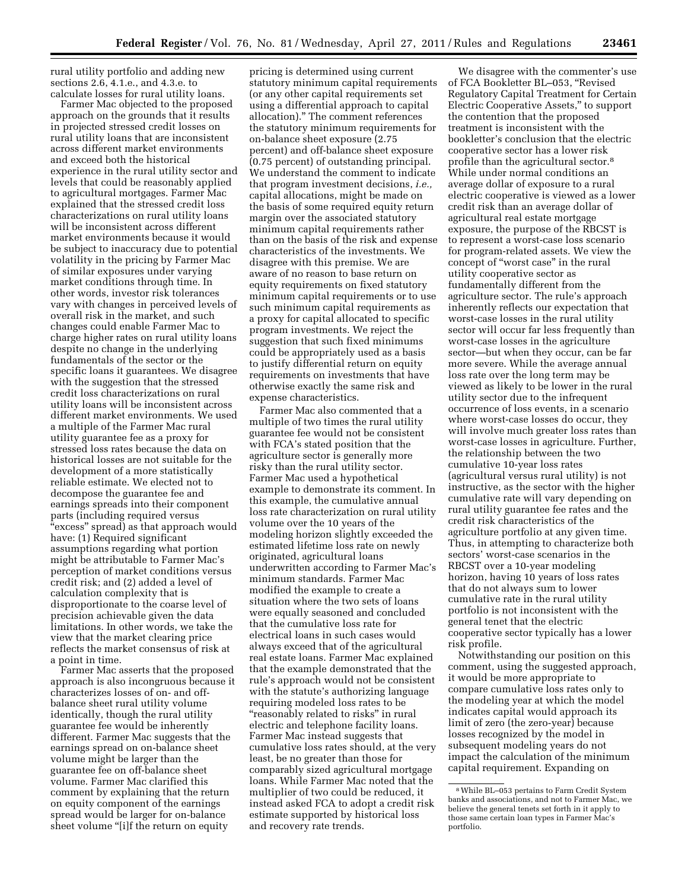rural utility portfolio and adding new sections 2.6, 4.1.e., and 4.3.e. to calculate losses for rural utility loans.

Farmer Mac objected to the proposed approach on the grounds that it results in projected stressed credit losses on rural utility loans that are inconsistent across different market environments and exceed both the historical experience in the rural utility sector and levels that could be reasonably applied to agricultural mortgages. Farmer Mac explained that the stressed credit loss characterizations on rural utility loans will be inconsistent across different market environments because it would be subject to inaccuracy due to potential volatility in the pricing by Farmer Mac of similar exposures under varying market conditions through time. In other words, investor risk tolerances vary with changes in perceived levels of overall risk in the market, and such changes could enable Farmer Mac to charge higher rates on rural utility loans despite no change in the underlying fundamentals of the sector or the specific loans it guarantees. We disagree with the suggestion that the stressed credit loss characterizations on rural utility loans will be inconsistent across different market environments. We used a multiple of the Farmer Mac rural utility guarantee fee as a proxy for stressed loss rates because the data on historical losses are not suitable for the development of a more statistically reliable estimate. We elected not to decompose the guarantee fee and earnings spreads into their component parts (including required versus ''excess'' spread) as that approach would have: (1) Required significant assumptions regarding what portion might be attributable to Farmer Mac's perception of market conditions versus credit risk; and (2) added a level of calculation complexity that is disproportionate to the coarse level of precision achievable given the data limitations. In other words, we take the view that the market clearing price reflects the market consensus of risk at a point in time.

Farmer Mac asserts that the proposed approach is also incongruous because it characterizes losses of on- and offbalance sheet rural utility volume identically, though the rural utility guarantee fee would be inherently different. Farmer Mac suggests that the earnings spread on on-balance sheet volume might be larger than the guarantee fee on off-balance sheet volume. Farmer Mac clarified this comment by explaining that the return on equity component of the earnings spread would be larger for on-balance sheet volume "[i]f the return on equity

pricing is determined using current statutory minimum capital requirements (or any other capital requirements set using a differential approach to capital allocation).'' The comment references the statutory minimum requirements for on-balance sheet exposure (2.75 percent) and off-balance sheet exposure (0.75 percent) of outstanding principal. We understand the comment to indicate that program investment decisions, *i.e.,*  capital allocations, might be made on the basis of some required equity return margin over the associated statutory minimum capital requirements rather than on the basis of the risk and expense characteristics of the investments. We disagree with this premise. We are aware of no reason to base return on equity requirements on fixed statutory minimum capital requirements or to use such minimum capital requirements as a proxy for capital allocated to specific program investments. We reject the suggestion that such fixed minimums could be appropriately used as a basis to justify differential return on equity requirements on investments that have otherwise exactly the same risk and expense characteristics.

Farmer Mac also commented that a multiple of two times the rural utility guarantee fee would not be consistent with FCA's stated position that the agriculture sector is generally more risky than the rural utility sector. Farmer Mac used a hypothetical example to demonstrate its comment. In this example, the cumulative annual loss rate characterization on rural utility volume over the 10 years of the modeling horizon slightly exceeded the estimated lifetime loss rate on newly originated, agricultural loans underwritten according to Farmer Mac's minimum standards. Farmer Mac modified the example to create a situation where the two sets of loans were equally seasoned and concluded that the cumulative loss rate for electrical loans in such cases would always exceed that of the agricultural real estate loans. Farmer Mac explained that the example demonstrated that the rule's approach would not be consistent with the statute's authorizing language requiring modeled loss rates to be ''reasonably related to risks'' in rural electric and telephone facility loans. Farmer Mac instead suggests that cumulative loss rates should, at the very least, be no greater than those for comparably sized agricultural mortgage loans. While Farmer Mac noted that the multiplier of two could be reduced, it instead asked FCA to adopt a credit risk estimate supported by historical loss and recovery rate trends.

We disagree with the commenter's use of FCA Bookletter BL–053, ''Revised Regulatory Capital Treatment for Certain Electric Cooperative Assets,'' to support the contention that the proposed treatment is inconsistent with the bookletter's conclusion that the electric cooperative sector has a lower risk profile than the agricultural sector.8 While under normal conditions an average dollar of exposure to a rural electric cooperative is viewed as a lower credit risk than an average dollar of agricultural real estate mortgage exposure, the purpose of the RBCST is to represent a worst-case loss scenario for program-related assets. We view the concept of ''worst case'' in the rural utility cooperative sector as fundamentally different from the agriculture sector. The rule's approach inherently reflects our expectation that worst-case losses in the rural utility sector will occur far less frequently than worst-case losses in the agriculture sector—but when they occur, can be far more severe. While the average annual loss rate over the long term may be viewed as likely to be lower in the rural utility sector due to the infrequent occurrence of loss events, in a scenario where worst-case losses do occur, they will involve much greater loss rates than worst-case losses in agriculture. Further, the relationship between the two cumulative 10-year loss rates (agricultural versus rural utility) is not instructive, as the sector with the higher cumulative rate will vary depending on rural utility guarantee fee rates and the credit risk characteristics of the agriculture portfolio at any given time. Thus, in attempting to characterize both sectors' worst-case scenarios in the RBCST over a 10-year modeling horizon, having 10 years of loss rates that do not always sum to lower cumulative rate in the rural utility portfolio is not inconsistent with the general tenet that the electric cooperative sector typically has a lower risk profile.

Notwithstanding our position on this comment, using the suggested approach, it would be more appropriate to compare cumulative loss rates only to the modeling year at which the model indicates capital would approach its limit of zero (the zero-year) because losses recognized by the model in subsequent modeling years do not impact the calculation of the minimum capital requirement. Expanding on

<sup>8</sup>While BL–053 pertains to Farm Credit System banks and associations, and not to Farmer Mac, we believe the general tenets set forth in it apply to those same certain loan types in Farmer Mac's portfolio.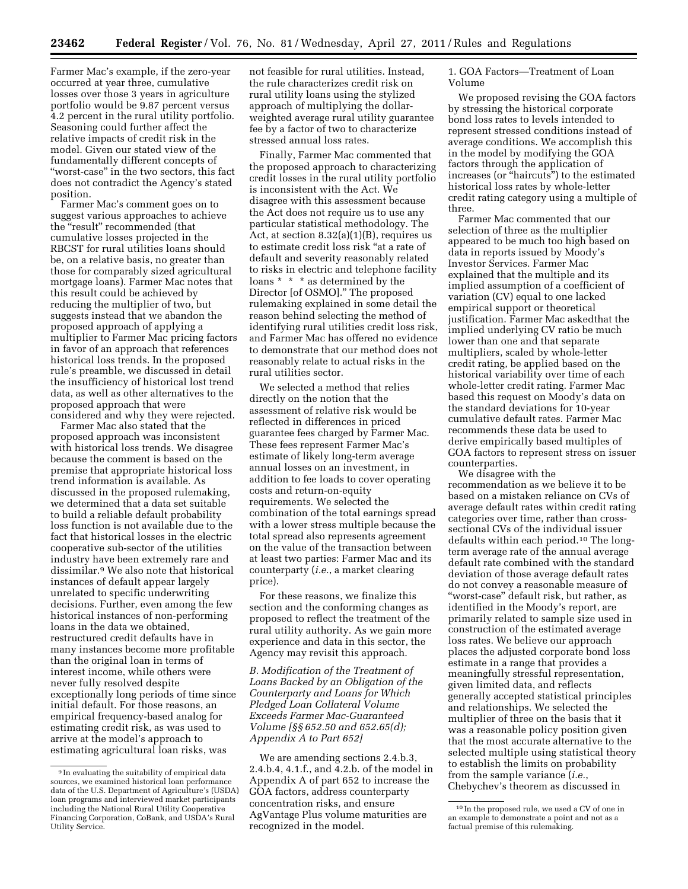Farmer Mac's example, if the zero-year occurred at year three, cumulative losses over those 3 years in agriculture portfolio would be 9.87 percent versus 4.2 percent in the rural utility portfolio. Seasoning could further affect the relative impacts of credit risk in the model. Given our stated view of the fundamentally different concepts of ''worst-case'' in the two sectors, this fact does not contradict the Agency's stated position.

Farmer Mac's comment goes on to suggest various approaches to achieve the "result" recommended (that cumulative losses projected in the RBCST for rural utilities loans should be, on a relative basis, no greater than those for comparably sized agricultural mortgage loans). Farmer Mac notes that this result could be achieved by reducing the multiplier of two, but suggests instead that we abandon the proposed approach of applying a multiplier to Farmer Mac pricing factors in favor of an approach that references historical loss trends. In the proposed rule's preamble, we discussed in detail the insufficiency of historical lost trend data, as well as other alternatives to the proposed approach that were considered and why they were rejected.

Farmer Mac also stated that the proposed approach was inconsistent with historical loss trends. We disagree because the comment is based on the premise that appropriate historical loss trend information is available. As discussed in the proposed rulemaking, we determined that a data set suitable to build a reliable default probability loss function is not available due to the fact that historical losses in the electric cooperative sub-sector of the utilities industry have been extremely rare and dissimilar.9 We also note that historical instances of default appear largely unrelated to specific underwriting decisions. Further, even among the few historical instances of non-performing loans in the data we obtained, restructured credit defaults have in many instances become more profitable than the original loan in terms of interest income, while others were never fully resolved despite exceptionally long periods of time since initial default. For those reasons, an empirical frequency-based analog for estimating credit risk, as was used to arrive at the model's approach to estimating agricultural loan risks, was

not feasible for rural utilities. Instead, the rule characterizes credit risk on rural utility loans using the stylized approach of multiplying the dollarweighted average rural utility guarantee fee by a factor of two to characterize stressed annual loss rates.

Finally, Farmer Mac commented that the proposed approach to characterizing credit losses in the rural utility portfolio is inconsistent with the Act. We disagree with this assessment because the Act does not require us to use any particular statistical methodology. The Act, at section 8.32(a)(1)(B), requires us to estimate credit loss risk ''at a rate of default and severity reasonably related to risks in electric and telephone facility loans \* \* \* as determined by the Director [of OSMO].'' The proposed rulemaking explained in some detail the reason behind selecting the method of identifying rural utilities credit loss risk, and Farmer Mac has offered no evidence to demonstrate that our method does not reasonably relate to actual risks in the rural utilities sector.

We selected a method that relies directly on the notion that the assessment of relative risk would be reflected in differences in priced guarantee fees charged by Farmer Mac. These fees represent Farmer Mac's estimate of likely long-term average annual losses on an investment, in addition to fee loads to cover operating costs and return-on-equity requirements. We selected the combination of the total earnings spread with a lower stress multiple because the total spread also represents agreement on the value of the transaction between at least two parties: Farmer Mac and its counterparty (*i.e.*, a market clearing price).

For these reasons, we finalize this section and the conforming changes as proposed to reflect the treatment of the rural utility authority. As we gain more experience and data in this sector, the Agency may revisit this approach.

*B. Modification of the Treatment of Loans Backed by an Obligation of the Counterparty and Loans for Which Pledged Loan Collateral Volume Exceeds Farmer Mac-Guaranteed Volume [§§ 652.50 and 652.65(d); Appendix A to Part 652]* 

We are amending sections 2.4.b.3, 2.4.b.4, 4.1.f., and 4.2.b. of the model in Appendix A of part 652 to increase the GOA factors, address counterparty concentration risks, and ensure AgVantage Plus volume maturities are recognized in the model.

1. GOA Factors—Treatment of Loan Volume

We proposed revising the GOA factors by stressing the historical corporate bond loss rates to levels intended to represent stressed conditions instead of average conditions. We accomplish this in the model by modifying the GOA factors through the application of increases (or ''haircuts'') to the estimated historical loss rates by whole-letter credit rating category using a multiple of three.

Farmer Mac commented that our selection of three as the multiplier appeared to be much too high based on data in reports issued by Moody's Investor Services. Farmer Mac explained that the multiple and its implied assumption of a coefficient of variation (CV) equal to one lacked empirical support or theoretical justification. Farmer Mac askedthat the implied underlying CV ratio be much lower than one and that separate multipliers, scaled by whole-letter credit rating, be applied based on the historical variability over time of each whole-letter credit rating. Farmer Mac based this request on Moody's data on the standard deviations for 10-year cumulative default rates. Farmer Mac recommends these data be used to derive empirically based multiples of GOA factors to represent stress on issuer counterparties.

We disagree with the recommendation as we believe it to be based on a mistaken reliance on CVs of average default rates within credit rating categories over time, rather than crosssectional CVs of the individual issuer defaults within each period.10 The longterm average rate of the annual average default rate combined with the standard deviation of those average default rates do not convey a reasonable measure of ''worst-case'' default risk, but rather, as identified in the Moody's report, are primarily related to sample size used in construction of the estimated average loss rates. We believe our approach places the adjusted corporate bond loss estimate in a range that provides a meaningfully stressful representation, given limited data, and reflects generally accepted statistical principles and relationships. We selected the multiplier of three on the basis that it was a reasonable policy position given that the most accurate alternative to the selected multiple using statistical theory to establish the limits on probability from the sample variance (*i.e.*, Chebychev's theorem as discussed in

<sup>9</sup> In evaluating the suitability of empirical data sources, we examined historical loan performance data of the U.S. Department of Agriculture's (USDA) loan programs and interviewed market participants including the National Rural Utility Cooperative Financing Corporation, CoBank, and USDA's Rural Utility Service.

<sup>10</sup> In the proposed rule, we used a CV of one in an example to demonstrate a point and not as a factual premise of this rulemaking.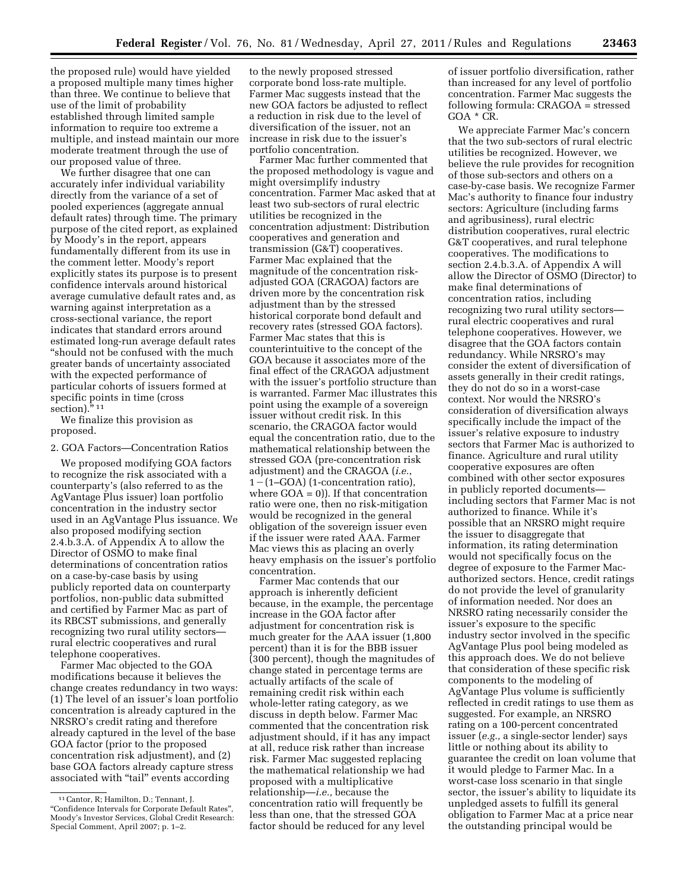the proposed rule) would have yielded a proposed multiple many times higher than three. We continue to believe that use of the limit of probability established through limited sample information to require too extreme a multiple, and instead maintain our more moderate treatment through the use of our proposed value of three.

We further disagree that one can accurately infer individual variability directly from the variance of a set of pooled experiences (aggregate annual default rates) through time. The primary purpose of the cited report, as explained by Moody's in the report, appears fundamentally different from its use in the comment letter. Moody's report explicitly states its purpose is to present confidence intervals around historical average cumulative default rates and, as warning against interpretation as a cross-sectional variance, the report indicates that standard errors around estimated long-run average default rates ''should not be confused with the much greater bands of uncertainty associated with the expected performance of particular cohorts of issuers formed at specific points in time (cross section)."<sup>11</sup>

We finalize this provision as proposed.

### 2. GOA Factors—Concentration Ratios

We proposed modifying GOA factors to recognize the risk associated with a counterparty's (also referred to as the AgVantage Plus issuer) loan portfolio concentration in the industry sector used in an AgVantage Plus issuance. We also proposed modifying section 2.4.b.3.A. of Appendix A to allow the Director of OSMO to make final determinations of concentration ratios on a case-by-case basis by using publicly reported data on counterparty portfolios, non-public data submitted and certified by Farmer Mac as part of its RBCST submissions, and generally recognizing two rural utility sectors rural electric cooperatives and rural telephone cooperatives.

Farmer Mac objected to the GOA modifications because it believes the change creates redundancy in two ways: (1) The level of an issuer's loan portfolio concentration is already captured in the NRSRO's credit rating and therefore already captured in the level of the base GOA factor (prior to the proposed concentration risk adjustment), and (2) base GOA factors already capture stress associated with "tail" events according

to the newly proposed stressed corporate bond loss-rate multiple. Farmer Mac suggests instead that the new GOA factors be adjusted to reflect a reduction in risk due to the level of diversification of the issuer, not an increase in risk due to the issuer's portfolio concentration.

Farmer Mac further commented that the proposed methodology is vague and might oversimplify industry concentration. Farmer Mac asked that at least two sub-sectors of rural electric utilities be recognized in the concentration adjustment: Distribution cooperatives and generation and transmission (G&T) cooperatives. Farmer Mac explained that the magnitude of the concentration riskadjusted GOA (CRAGOA) factors are driven more by the concentration risk adjustment than by the stressed historical corporate bond default and recovery rates (stressed GOA factors). Farmer Mac states that this is counterintuitive to the concept of the GOA because it associates more of the final effect of the CRAGOA adjustment with the issuer's portfolio structure than is warranted. Farmer Mac illustrates this point using the example of a sovereign issuer without credit risk. In this scenario, the CRAGOA factor would equal the concentration ratio, due to the mathematical relationship between the stressed GOA (pre-concentration risk adjustment) and the CRAGOA (*i.e.*,  $1-(1–GOA)$  (1-concentration ratio), where GOA = 0)). If that concentration ratio were one, then no risk-mitigation would be recognized in the general obligation of the sovereign issuer even if the issuer were rated AAA. Farmer Mac views this as placing an overly heavy emphasis on the issuer's portfolio concentration.

Farmer Mac contends that our approach is inherently deficient because, in the example, the percentage increase in the GOA factor after adjustment for concentration risk is much greater for the AAA issuer (1,800 percent) than it is for the BBB issuer (300 percent), though the magnitudes of change stated in percentage terms are actually artifacts of the scale of remaining credit risk within each whole-letter rating category, as we discuss in depth below. Farmer Mac commented that the concentration risk adjustment should, if it has any impact at all, reduce risk rather than increase risk. Farmer Mac suggested replacing the mathematical relationship we had proposed with a multiplicative relationship—*i.e.,* because the concentration ratio will frequently be less than one, that the stressed GOA factor should be reduced for any level

of issuer portfolio diversification, rather than increased for any level of portfolio concentration. Farmer Mac suggests the following formula: CRAGOA = stressed GOA \* CR.

We appreciate Farmer Mac's concern that the two sub-sectors of rural electric utilities be recognized. However, we believe the rule provides for recognition of those sub-sectors and others on a case-by-case basis. We recognize Farmer Mac's authority to finance four industry sectors: Agriculture (including farms and agribusiness), rural electric distribution cooperatives, rural electric G&T cooperatives, and rural telephone cooperatives. The modifications to section 2.4.b.3.A. of Appendix A will allow the Director of OSMO (Director) to make final determinations of concentration ratios, including recognizing two rural utility sectors rural electric cooperatives and rural telephone cooperatives. However, we disagree that the GOA factors contain redundancy. While NRSRO's may consider the extent of diversification of assets generally in their credit ratings, they do not do so in a worst-case context. Nor would the NRSRO's consideration of diversification always specifically include the impact of the issuer's relative exposure to industry sectors that Farmer Mac is authorized to finance. Agriculture and rural utility cooperative exposures are often combined with other sector exposures in publicly reported documents including sectors that Farmer Mac is not authorized to finance. While it's possible that an NRSRO might require the issuer to disaggregate that information, its rating determination would not specifically focus on the degree of exposure to the Farmer Macauthorized sectors. Hence, credit ratings do not provide the level of granularity of information needed. Nor does an NRSRO rating necessarily consider the issuer's exposure to the specific industry sector involved in the specific AgVantage Plus pool being modeled as this approach does. We do not believe that consideration of these specific risk components to the modeling of AgVantage Plus volume is sufficiently reflected in credit ratings to use them as suggested. For example, an NRSRO rating on a 100-percent concentrated issuer (*e.g.,* a single-sector lender) says little or nothing about its ability to guarantee the credit on loan volume that it would pledge to Farmer Mac. In a worst-case loss scenario in that single sector, the issuer's ability to liquidate its unpledged assets to fulfill its general obligation to Farmer Mac at a price near the outstanding principal would be

<sup>11</sup>Cantor, R; Hamilton, D.; Tennant, J. ''Confidence Intervals for Corporate Default Rates'', Moody's Investor Services, Global Credit Research: Special Comment, April 2007; p. 1–2.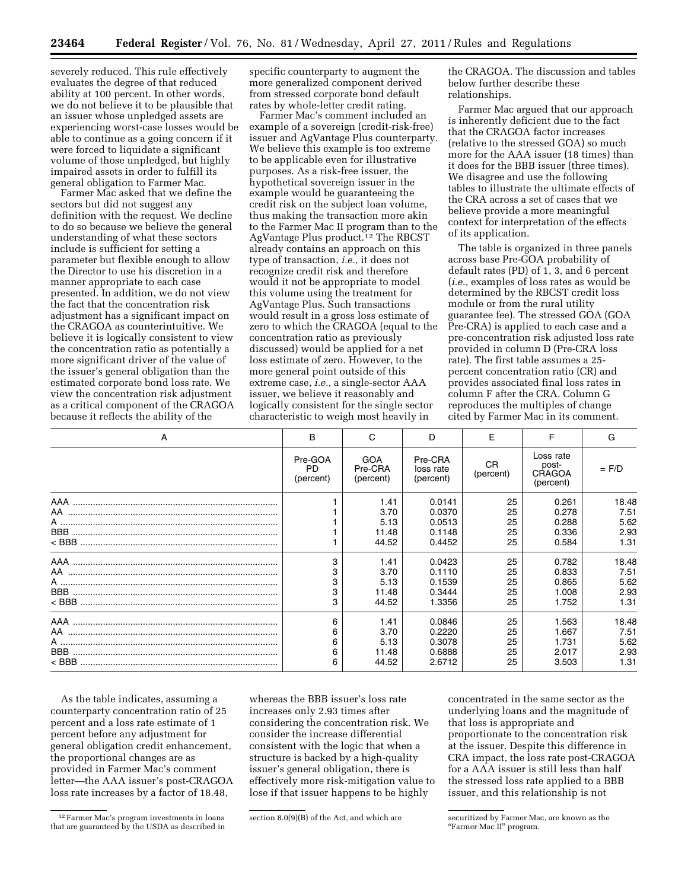severely reduced. This rule effectively evaluates the degree of that reduced ability at 100 percent. In other words, we do not believe it to be plausible that an issuer whose unpledged assets are experiencing worst-case losses would be able to continue as a going concern if it were forced to liquidate a significant volume of those unpledged, but highly impaired assets in order to fulfill its general obligation to Farmer Mac.

Farmer Mac asked that we define the sectors but did not suggest any definition with the request. We decline to do so because we believe the general understanding of what these sectors include is sufficient for setting a parameter but flexible enough to allow the Director to use his discretion in a manner appropriate to each case presented. In addition, we do not view the fact that the concentration risk adjustment has a significant impact on the CRAGOA as counterintuitive. We believe it is logically consistent to view the concentration ratio as potentially a more significant driver of the value of the issuer's general obligation than the estimated corporate bond loss rate. We view the concentration risk adjustment as a critical component of the CRAGOA because it reflects the ability of the

specific counterparty to augment the more generalized component derived from stressed corporate bond default rates by whole-letter credit rating.

Farmer Mac's comment included an example of a sovereign (credit-risk-free) issuer and AgVantage Plus counterparty. We believe this example is too extreme to be applicable even for illustrative purposes. As a risk-free issuer, the hypothetical sovereign issuer in the example would be guaranteeing the credit risk on the subject loan volume, thus making the transaction more akin to the Farmer Mac II program than to the AgVantage Plus product.12 The RBCST already contains an approach on this type of transaction, *i.e.,* it does not recognize credit risk and therefore would it not be appropriate to model this volume using the treatment for AgVantage Plus. Such transactions would result in a gross loss estimate of zero to which the CRAGOA (equal to the concentration ratio as previously discussed) would be applied for a net loss estimate of zero. However, to the more general point outside of this extreme case, *i.e.,* a single-sector AAA issuer, we believe it reasonably and logically consistent for the single sector characteristic to weigh most heavily in

the CRAGOA. The discussion and tables below further describe these relationships.

Farmer Mac argued that our approach is inherently deficient due to the fact that the CRAGOA factor increases (relative to the stressed GOA) so much more for the AAA issuer (18 times) than it does for the BBB issuer (three times). We disagree and use the following tables to illustrate the ultimate effects of the CRA across a set of cases that we believe provide a more meaningful context for interpretation of the effects of its application.

The table is organized in three panels across base Pre-GOA probability of default rates (PD) of 1, 3, and 6 percent (*i.e.,* examples of loss rates as would be determined by the RBCST credit loss module or from the rural utility guarantee fee). The stressed GOA (GOA Pre-CRA) is applied to each case and a pre-concentration risk adjusted loss rate provided in column D (Pre-CRA loss rate). The first table assumes a 25 percent concentration ratio (CR) and provides associated final loss rates in column F after the CRA. Column G reproduces the multiples of change cited by Farmer Mac in its comment.

| A                              | B                                 | C                                  | D                                 | F                      | F                                         | G       |
|--------------------------------|-----------------------------------|------------------------------------|-----------------------------------|------------------------|-------------------------------------------|---------|
|                                | Pre-GOA<br><b>PD</b><br>(percent) | <b>GOA</b><br>Pre-CRA<br>(percent) | Pre-CRA<br>loss rate<br>(percent) | <b>CR</b><br>(percent) | Loss rate<br>post-<br>CRAGOA<br>(percent) | $=$ F/D |
|                                |                                   | 1.41                               | 0.0141                            | 25                     | 0.261                                     | 18.48   |
| AA ……………………………………………………………………… |                                   | 3.70                               | 0.0370                            | 25                     | 0.278                                     | 7.51    |
|                                |                                   | 5.13                               | 0.0513                            | 25                     | 0.288                                     | 5.62    |
|                                |                                   | 11.48                              | 0.1148                            | 25                     | 0.336                                     | 2.93    |
|                                |                                   | 44.52                              | 0.4452                            | 25                     | 0.584                                     | 1.31    |
|                                | 3                                 | 1.41                               | 0.0423                            | 25                     | 0.782                                     | 18.48   |
| AA ……………………………………………………………………… | 3                                 | 3.70                               | 0.1110                            | 25                     | 0.833                                     | 7.51    |
| A ………………………………………………………………………… | 3                                 | 5.13                               | 0.1539                            | 25                     | 0.865                                     | 5.62    |
|                                | 3                                 | 11.48                              | 0.3444                            | 25                     | 1.008                                     | 2.93    |
|                                |                                   | 44.52                              | 1.3356                            | 25                     | 1.752                                     | 1.31    |
|                                | 6                                 | 1.41                               | 0.0846                            | 25                     | 1.563                                     | 18.48   |
|                                | 6                                 | 3.70                               | 0.2220                            | 25                     | 1.667                                     | 7.51    |
|                                | 6                                 | 5.13                               | 0.3078                            | 25                     | 1.731                                     | 5.62    |
|                                | 6                                 | 11.48                              | 0.6888                            | 25                     | 2.017                                     | 2.93    |
|                                | 6                                 | 44.52                              | 2.6712                            | 25                     | 3.503                                     | 1.31    |

As the table indicates, assuming a counterparty concentration ratio of 25 percent and a loss rate estimate of 1 percent before any adjustment for general obligation credit enhancement, the proportional changes are as provided in Farmer Mac's comment letter—the AAA issuer's post-CRAGOA loss rate increases by a factor of 18.48,

whereas the BBB issuer's loss rate increases only 2.93 times after considering the concentration risk. We consider the increase differential consistent with the logic that when a structure is backed by a high-quality issuer's general obligation, there is effectively more risk-mitigation value to lose if that issuer happens to be highly

concentrated in the same sector as the underlying loans and the magnitude of that loss is appropriate and proportionate to the concentration risk at the issuer. Despite this difference in CRA impact, the loss rate post-CRAGOA for a AAA issuer is still less than half the stressed loss rate applied to a BBB issuer, and this relationship is not

<sup>12</sup>Farmer Mac's program investments in loans that are guaranteed by the USDA as described in

 $\frac{1}{2}$  section  $8.0(9)(B)$  of the Act, and which are securitized by Farmer Mac, are known as the

<sup>&</sup>quot;Farmer Mac<sup>II"</sup> program.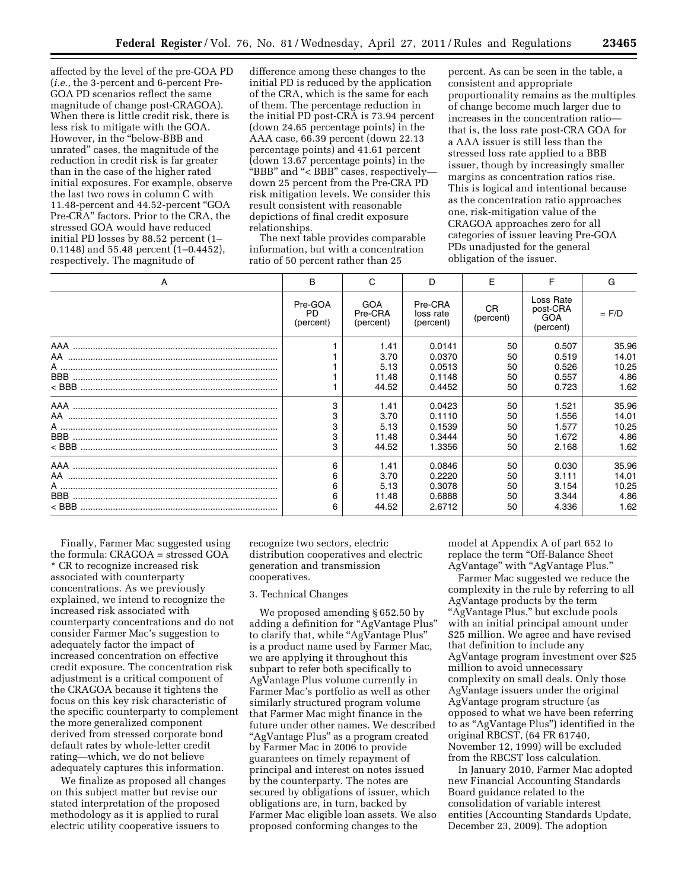affected by the level of the pre-GOA PD (*i.e.,* the 3-percent and 6-percent Pre-GOA PD scenarios reflect the same magnitude of change post-CRAGOA). When there is little credit risk, there is less risk to mitigate with the GOA. However, in the ''below-BBB and unrated'' cases, the magnitude of the reduction in credit risk is far greater than in the case of the higher rated initial exposures. For example, observe the last two rows in column C with 11.48-percent and 44.52-percent ''GOA Pre-CRA'' factors. Prior to the CRA, the stressed GOA would have reduced initial PD losses by 88.52 percent (1– 0.1148) and 55.48 percent (1–0.4452), respectively. The magnitude of

difference among these changes to the initial PD is reduced by the application of the CRA, which is the same for each of them. The percentage reduction in the initial PD post-CRA is 73.94 percent (down 24.65 percentage points) in the AAA case, 66.39 percent (down 22.13 percentage points) and 41.61 percent (down 13.67 percentage points) in the "BBB" and "<BBB" cases, respectivelydown 25 percent from the Pre-CRA PD risk mitigation levels. We consider this result consistent with reasonable depictions of final credit exposure relationships.

The next table provides comparable information, but with a concentration ratio of 50 percent rather than 25

percent. As can be seen in the table, a consistent and appropriate proportionality remains as the multiples of change become much larger due to increases in the concentration ratio that is, the loss rate post-CRA GOA for a AAA issuer is still less than the stressed loss rate applied to a BBB issuer, though by increasingly smaller margins as concentration ratios rise. This is logical and intentional because as the concentration ratio approaches one, risk-mitigation value of the CRAGOA approaches zero for all categories of issuer leaving Pre-GOA PDs unadjusted for the general obligation of the issuer.

| A                                                                | B                                 | C                                      | D                                              | F                          | F                                         | G                                       |
|------------------------------------------------------------------|-----------------------------------|----------------------------------------|------------------------------------------------|----------------------------|-------------------------------------------|-----------------------------------------|
|                                                                  | Pre-GOA<br><b>PD</b><br>(percent) | <b>GOA</b><br>Pre-CRA<br>(percent)     | Pre-CRA<br>loss rate<br>(percent)              | <b>CR</b><br>(percent)     | Loss Rate<br>post-CRA<br>GOA<br>(percent) | $=$ F/D                                 |
| AA ………………………………………………………………………<br>A ………………………………………………………………………… |                                   | 1.41<br>3.70<br>5.13<br>11.48<br>44.52 | 0.0141<br>0.0370<br>0.0513<br>0.1148<br>0.4452 | 50<br>50<br>50<br>50<br>50 | 0.507<br>0.519<br>0.526<br>0.557<br>0.723 | 35.96<br>14.01<br>10.25<br>4.86<br>1.62 |
|                                                                  | 3<br>3<br>3<br>3                  | 1.41<br>3.70<br>5.13<br>11.48<br>44.52 | 0.0423<br>0.1110<br>0.1539<br>0.3444<br>1.3356 | 50<br>50<br>50<br>50<br>50 | 1.521<br>1.556<br>1.577<br>1.672<br>2.168 | 35.96<br>14.01<br>10.25<br>4.86<br>1.62 |
| AA ………………………………………………………………………                                   | 6<br>6<br>6<br>6<br>6             | 1.41<br>3.70<br>5.13<br>11.48<br>44.52 | 0.0846<br>0.2220<br>0.3078<br>0.6888<br>2.6712 | 50<br>50<br>50<br>50<br>50 | 0.030<br>3.111<br>3.154<br>3.344<br>4.336 | 35.96<br>14.01<br>10.25<br>4.86<br>1.62 |

Finally, Farmer Mac suggested using the formula: CRAGOA = stressed GOA \* CR to recognize increased risk associated with counterparty concentrations. As we previously explained, we intend to recognize the increased risk associated with counterparty concentrations and do not consider Farmer Mac's suggestion to adequately factor the impact of increased concentration on effective credit exposure. The concentration risk adjustment is a critical component of the CRAGOA because it tightens the focus on this key risk characteristic of the specific counterparty to complement the more generalized component derived from stressed corporate bond default rates by whole-letter credit rating—which, we do not believe adequately captures this information.

We finalize as proposed all changes on this subject matter but revise our stated interpretation of the proposed methodology as it is applied to rural electric utility cooperative issuers to

recognize two sectors, electric distribution cooperatives and electric generation and transmission cooperatives.

#### 3. Technical Changes

We proposed amending § 652.50 by adding a definition for ''AgVantage Plus'' to clarify that, while "AgVantage Plus" is a product name used by Farmer Mac, we are applying it throughout this subpart to refer both specifically to AgVantage Plus volume currently in Farmer Mac's portfolio as well as other similarly structured program volume that Farmer Mac might finance in the future under other names. We described ''AgVantage Plus'' as a program created by Farmer Mac in 2006 to provide guarantees on timely repayment of principal and interest on notes issued by the counterparty. The notes are secured by obligations of issuer, which obligations are, in turn, backed by Farmer Mac eligible loan assets. We also proposed conforming changes to the

model at Appendix A of part 652 to replace the term "Off-Balance Sheet AgVantage'' with ''AgVantage Plus.''

Farmer Mac suggested we reduce the complexity in the rule by referring to all AgVantage products by the term "AgVantage Plus," but exclude pools with an initial principal amount under \$25 million. We agree and have revised that definition to include any AgVantage program investment over \$25 million to avoid unnecessary complexity on small deals. Only those AgVantage issuers under the original AgVantage program structure (as opposed to what we have been referring to as ''AgVantage Plus'') identified in the original RBCST, (64 FR 61740, November 12, 1999) will be excluded from the RBCST loss calculation.

In January 2010, Farmer Mac adopted new Financial Accounting Standards Board guidance related to the consolidation of variable interest entities (Accounting Standards Update, December 23, 2009). The adoption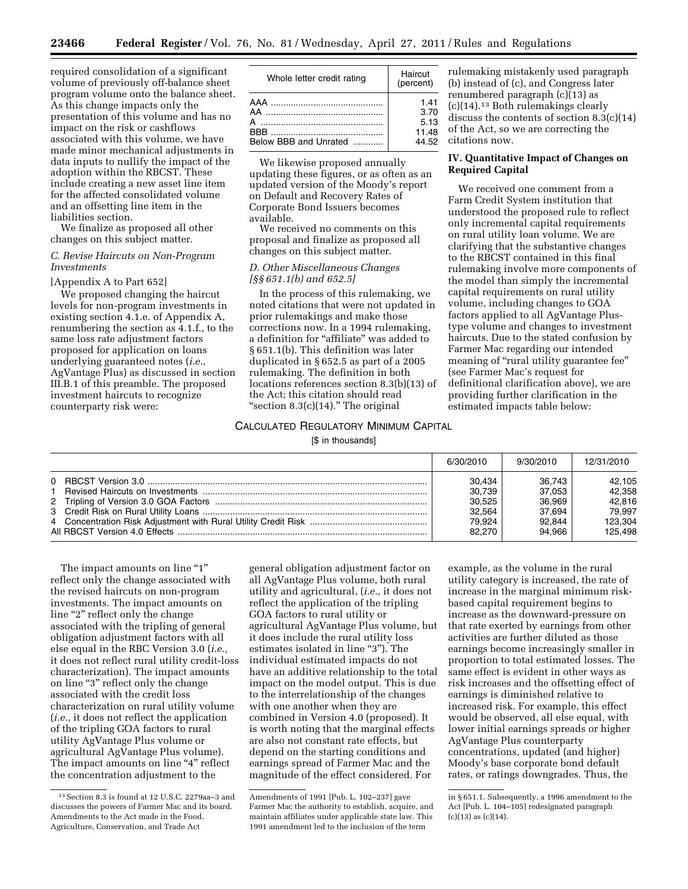required consolidation of a significant volume of previously off-balance sheet program volume onto the balance sheet. As this change impacts only the presentation of this volume and has no impact on the risk or cashflows associated with this volume, we have made minor mechanical adjustments in data inputs to nullify the impact of the adoption within the RBCST. These include creating a new asset line item for the affected consolidated volume and an offsetting line item in the liabilities section.

We finalize as proposed all other changes on this subject matter.

### *C. Revise Haircuts on Non-Program Investments*

## [Appendix A to Part 652]

We proposed changing the haircut levels for non-program investments in existing section 4.1.e. of Appendix A, renumbering the section as 4.1.f., to the same loss rate adjustment factors proposed for application on loans underlying guaranteed notes (*i.e.,*  AgVantage Plus) as discussed in section III.B.1 of this preamble. The proposed investment haircuts to recognize counterparty risk were:

| Whole letter credit rating                                                                                                                                                                                                                                                          | Haircut<br>(percent)                   |  |
|-------------------------------------------------------------------------------------------------------------------------------------------------------------------------------------------------------------------------------------------------------------------------------------|----------------------------------------|--|
| AA …………………………………………<br>$\overline{A}$ . The continuum continuum continuum continuum continuum continuum continuum continuum continuum continuum continuum continuum continuum continuum continuum continuum continuum continuum continuum continuum contin<br>Below BBB and Unrated | 1.41<br>3.70<br>5.13<br>11.48<br>44.52 |  |
|                                                                                                                                                                                                                                                                                     |                                        |  |

We likewise proposed annually updating these figures, or as often as an updated version of the Moody's report on Default and Recovery Rates of Corporate Bond Issuers becomes available.

We received no comments on this proposal and finalize as proposed all changes on this subject matter.

### *D. Other Miscellaneous Changes [§§ 651.1(b) and 652.5]*

In the process of this rulemaking, we noted citations that were not updated in prior rulemakings and make those corrections now. In a 1994 rulemaking, a definition for "affiliate" was added to § 651.1(b). This definition was later duplicated in § 652.5 as part of a 2005 rulemaking. The definition in both locations references section 8.3(b)(13) of the Act; this citation should read "section  $8.3(c)(14)$ ." The original

## CALCULATED REGULATORY MINIMUM CAPITAL

[\$ in thousands]

| rulemaking mistakenly used paragraph            |
|-------------------------------------------------|
| (b) instead of (c), and Congress later          |
| renumbered paragraph (c)(13) as                 |
| (c)(14). <sup>13</sup> Both rulemakings clearly |
| discuss the contents of section $8.3(c)(14)$    |
| of the Act, so we are correcting the            |
| citations now.                                  |

## **IV. Quantitative Impact of Changes on Required Capital**

We received one comment from a Farm Credit System institution that understood the proposed rule to reflect only incremental capital requirements on rural utility loan volume. We are clarifying that the substantive changes to the RBCST contained in this final rulemaking involve more components of the model than simply the incremental capital requirements on rural utility volume, including changes to GOA factors applied to all AgVantage Plustype volume and changes to investment haircuts. Due to the stated confusion by Farmer Mac regarding our intended meaning of "rural utility guarantee fee" (see Farmer Mac's request for definitional clarification above), we are providing further clarification in the estimated impacts table below:

| 6/30/2010 | 9/30/2010        | 12/31/2010 |
|-----------|------------------|------------|
|           | 36.743<br>30.434 | 42,105     |
|           | 37.053<br>30.739 | 42.358     |
|           | 30.525<br>36.969 | 42.816     |
|           | 37.694<br>32.564 | 79.997     |
|           | 79.924<br>92.844 | 123.304    |
|           | 94.966<br>82,270 | 125.498    |

The impact amounts on line "1" reflect only the change associated with the revised haircuts on non-program investments. The impact amounts on line "2" reflect only the change associated with the tripling of general obligation adjustment factors with all else equal in the RBC Version 3.0 (*i.e.,*  it does not reflect rural utility credit-loss characterization). The impact amounts on line ''3'' reflect only the change associated with the credit loss characterization on rural utility volume (*i.e.,* it does not reflect the application of the tripling GOA factors to rural utility AgVantage Plus volume or agricultural AgVantage Plus volume). The impact amounts on line "4" reflect the concentration adjustment to the

general obligation adjustment factor on all AgVantage Plus volume, both rural utility and agricultural, (*i.e.,* it does not reflect the application of the tripling GOA factors to rural utility or agricultural AgVantage Plus volume, but it does include the rural utility loss estimates isolated in line "3"). The individual estimated impacts do not have an additive relationship to the total impact on the model output. This is due to the interrelationship of the changes with one another when they are combined in Version 4.0 (proposed). It is worth noting that the marginal effects are also not constant rate effects, but depend on the starting conditions and earnings spread of Farmer Mac and the magnitude of the effect considered. For

example, as the volume in the rural utility category is increased, the rate of increase in the marginal minimum riskbased capital requirement begins to increase as the downward-pressure on that rate exerted by earnings from other activities are further diluted as those earnings become increasingly smaller in proportion to total estimated losses. The same effect is evident in other ways as risk increases and the offsetting effect of earnings is diminished relative to increased risk. For example, this effect would be observed, all else equal, with lower initial earnings spreads or higher AgVantage Plus counterparty concentrations, updated (and higher) Moody's base corporate bond default rates, or ratings downgrades. Thus, the

<sup>13</sup>Section 8.3 is found at 12 U.S.C. 2279aa–3 and discusses the powers of Farmer Mac and its board. Amendments to the Act made in the Food, Agriculture, Conservation, and Trade Act

Amendments of 1991 [Pub. L. 102–237] gave Farmer Mac the authority to establish, acquire, and maintain affiliates under applicable state law. This 1991 amendment led to the inclusion of the term

in § 651.1. Subsequently, a 1996 amendment to the Act [Pub. L. 104–105] redesignated paragraph  $(c)(13)$  as  $(c)(14)$ .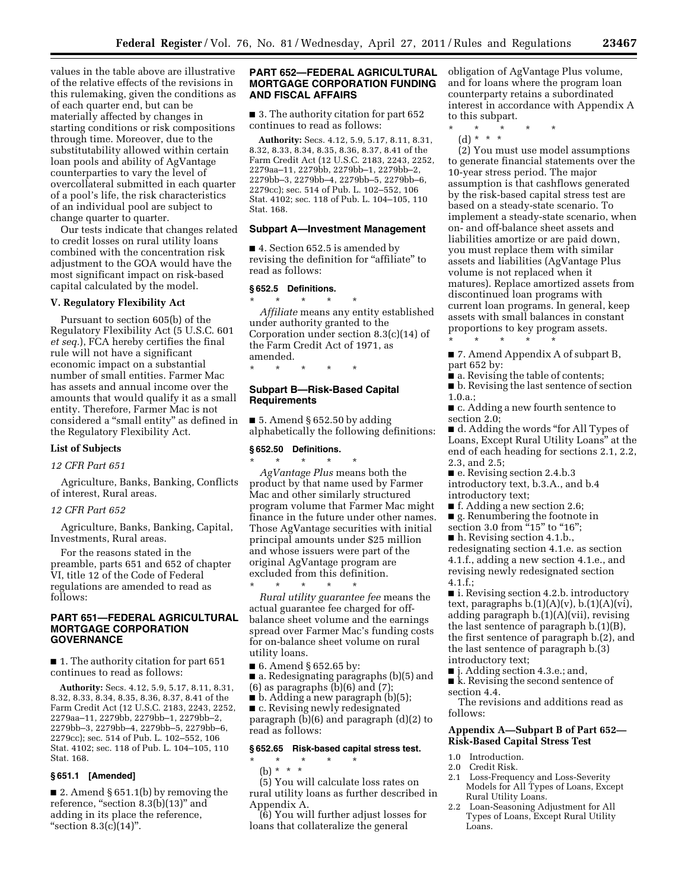values in the table above are illustrative of the relative effects of the revisions in this rulemaking, given the conditions as of each quarter end, but can be materially affected by changes in starting conditions or risk compositions through time. Moreover, due to the substitutability allowed within certain loan pools and ability of AgVantage counterparties to vary the level of overcollateral submitted in each quarter of a pool's life, the risk characteristics of an individual pool are subject to change quarter to quarter.

Our tests indicate that changes related to credit losses on rural utility loans combined with the concentration risk adjustment to the GOA would have the most significant impact on risk-based capital calculated by the model.

#### **V. Regulatory Flexibility Act**

Pursuant to section 605(b) of the Regulatory Flexibility Act (5 U.S.C. 601 *et seq.*), FCA hereby certifies the final rule will not have a significant economic impact on a substantial number of small entities. Farmer Mac has assets and annual income over the amounts that would qualify it as a small entity. Therefore, Farmer Mac is not considered a ''small entity'' as defined in the Regulatory Flexibility Act.

## **List of Subjects**

### *12 CFR Part 651*

Agriculture, Banks, Banking, Conflicts of interest, Rural areas.

### *12 CFR Part 652*

Agriculture, Banks, Banking, Capital, Investments, Rural areas.

For the reasons stated in the preamble, parts 651 and 652 of chapter VI, title 12 of the Code of Federal regulations are amended to read as follows:

## **PART 651—FEDERAL AGRICULTURAL MORTGAGE CORPORATION GOVERNANCE**

■ 1. The authority citation for part 651 continues to read as follows:

**Authority:** Secs. 4.12, 5.9, 5.17, 8.11, 8.31, 8.32, 8.33, 8.34, 8.35, 8.36, 8.37, 8.41 of the Farm Credit Act (12 U.S.C. 2183, 2243, 2252, 2279aa–11, 2279bb, 2279bb–1, 2279bb–2, 2279bb–3, 2279bb–4, 2279bb–5, 2279bb–6, 2279cc); sec. 514 of Pub. L. 102–552, 106 Stat. 4102; sec. 118 of Pub. L. 104–105, 110 Stat. 168.

## **§ 651.1 [Amended]**

■ 2. Amend § 651.1(b) by removing the reference, "section  $8.3(b)(13)$ " and adding in its place the reference, "section  $8.3(c)(14)$ ".

### **PART 652—FEDERAL AGRICULTURAL MORTGAGE CORPORATION FUNDING AND FISCAL AFFAIRS**

■ 3. The authority citation for part 652 continues to read as follows:

**Authority:** Secs. 4.12, 5.9, 5.17, 8.11, 8.31, 8.32, 8.33, 8.34, 8.35, 8.36, 8.37, 8.41 of the Farm Credit Act (12 U.S.C. 2183, 2243, 2252, 2279aa–11, 2279bb, 2279bb–1, 2279bb–2, 2279bb–3, 2279bb–4, 2279bb–5, 2279bb–6, 2279cc); sec. 514 of Pub. L. 102–552, 106 Stat. 4102; sec. 118 of Pub. L. 104–105, 110 Stat. 168.

#### **Subpart A—Investment Management**

■ 4. Section 652.5 is amended by revising the definition for "affiliate" to read as follows:

## **§ 652.5 Definitions.**

\* \* \* \* \* *Affiliate* means any entity established under authority granted to the Corporation under section 8.3(c)(14) of the Farm Credit Act of 1971, as amended.

\* \* \* \* \*

### **Subpart B—Risk-Based Capital Requirements**

 $\blacksquare$  5. Amend § 652.50 by adding alphabetically the following definitions:

### **§ 652.50 Definitions.**

\* \* \* \* \* *AgVantage Plus* means both the product by that name used by Farmer Mac and other similarly structured program volume that Farmer Mac might finance in the future under other names. Those AgVantage securities with initial principal amounts under \$25 million and whose issuers were part of the original AgVantage program are excluded from this definition.

\* \* \* \* \* *Rural utility guarantee fee* means the actual guarantee fee charged for offbalance sheet volume and the earnings spread over Farmer Mac's funding costs for on-balance sheet volume on rural utility loans.

- 6. Amend § 652.65 by:
- a. Redesignating paragraphs (b)(5) and  $(6)$  as paragraphs  $(b)(6)$  and  $(7)$ ;
- b. Adding a new paragraph (b)(5);

■ c. Revising newly redesignated paragraph (b)(6) and paragraph (d)(2) to read as follows:

#### **§ 652.65 Risk-based capital stress test.**

\* \* \* \* \*

(b) \* \* \*

(5) You will calculate loss rates on rural utility loans as further described in Appendix A.

(6) You will further adjust losses for loans that collateralize the general

obligation of AgVantage Plus volume, and for loans where the program loan counterparty retains a subordinated interest in accordance with Appendix A to this subpart.

- \* \* \* \* \*
- $(d) * * * *$

(2) You must use model assumptions to generate financial statements over the 10-year stress period. The major assumption is that cashflows generated by the risk-based capital stress test are based on a steady-state scenario. To implement a steady-state scenario, when on- and off-balance sheet assets and liabilities amortize or are paid down, you must replace them with similar assets and liabilities (AgVantage Plus volume is not replaced when it matures). Replace amortized assets from discontinued loan programs with current loan programs. In general, keep assets with small balances in constant proportions to key program assets. \* \* \* \* \*

■ 7. Amend Appendix A of subpart B, part 652 by:

■ a. Revising the table of contents;

■ b. Revising the last sentence of section 1.0.a.;

■ c. Adding a new fourth sentence to section 2.0;

■ d. Adding the words "for All Types of Loans, Except Rural Utility Loans'' at the end of each heading for sections 2.1, 2.2, 2.3, and 2.5;

■ e. Revising section 2.4.b.3 introductory text, b.3.A., and b.4

introductory text;

- f. Adding a new section 2.6;
- g. Renumbering the footnote in section 3.0 from "15" to "16";
- 

■ h. Revising section 4.1.b., redesignating section 4.1.e. as section 4.1.f., adding a new section 4.1.e., and revising newly redesignated section  $4.1.f.;$ 

■ i. Revising section 4.2.b. introductory text, paragraphs  $b.(1)(A)(v)$ ,  $b.(1)(A)(vi)$ , adding paragraph b.(1)(A)(vii), revising the last sentence of paragraph b.(1)(B), the first sentence of paragraph b.(2), and the last sentence of paragraph b.(3) introductory text;

- j. Adding section 4.3.e.; and,
- k. Revising the second sentence of section 4.4.

The revisions and additions read as follows:

## **Appendix A—Subpart B of Part 652— Risk-Based Capital Stress Test**

- 1.0 Introduction.
- 2.0 Credit Risk.
- 2.1 Loss-Frequency and Loss-Severity Models for All Types of Loans, Except Rural Utility Loans.
- 2.2 Loan-Seasoning Adjustment for All Types of Loans, Except Rural Utility Loans.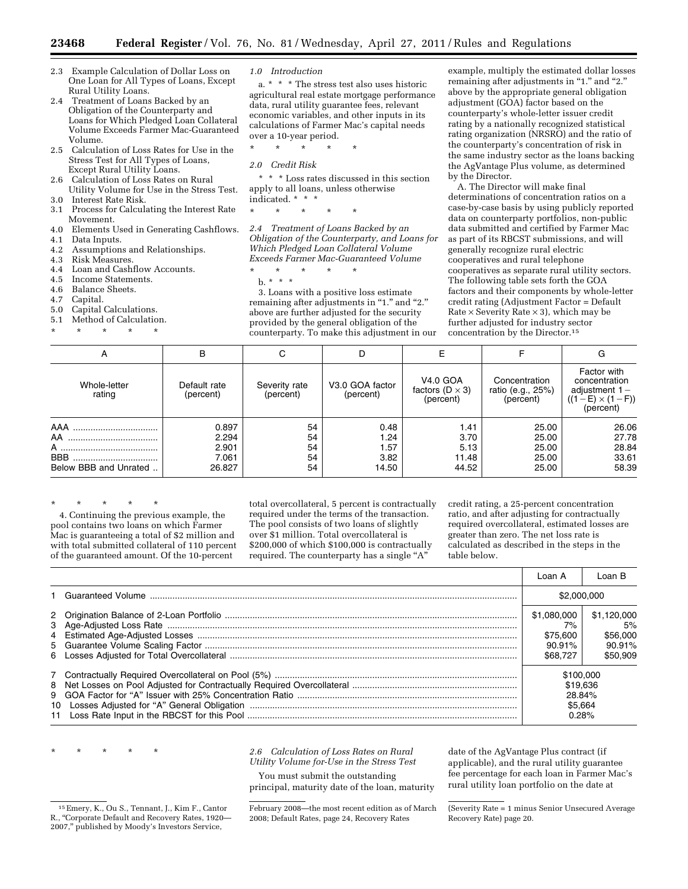- 2.3 Example Calculation of Dollar Loss on One Loan for All Types of Loans, Except Rural Utility Loans.
- 2.4 Treatment of Loans Backed by an Obligation of the Counterparty and Loans for Which Pledged Loan Collateral Volume Exceeds Farmer Mac-Guaranteed Volume.
- 2.5 Calculation of Loss Rates for Use in the Stress Test for All Types of Loans, Except Rural Utility Loans.
- 2.6 Calculation of Loss Rates on Rural Utility Volume for Use in the Stress Test. 3.0 Interest Rate Risk.
- 3.1 Process for Calculating the Interest Rate
- Movement.
- 4.0 Elements Used in Generating Cashflows. Data Inputs.
- 4.2 Assumptions and Relationships.
- 4.3 Risk Measures.<br>4.4 Loan and Cash
- Loan and Cashflow Accounts.
- 4.5 Income Statements.
- 4.6 Balance Sheets.<br>4.7 Capital.
- Capital.
- 5.0 Capital Calculations.
- 5.1 Method of Calculation.
- \* \* \* \* \*

*1.0 Introduction* 

a. \* \* \* The stress test also uses historic agricultural real estate mortgage performance data, rural utility guarantee fees, relevant economic variables, and other inputs in its calculations of Farmer Mac's capital needs over a 10-year period.

\* \* \* \* \*

*2.0 Credit Risk* 

\* \* \* Loss rates discussed in this section apply to all loans, unless otherwise indicated. \* \* \*

\* \* \* \* \*

*2.4 Treatment of Loans Backed by an Obligation of the Counterparty, and Loans for Which Pledged Loan Collateral Volume Exceeds Farmer Mac-Guaranteed Volume* 

\* \* \* \* \*

b. \* \* \* 3. Loans with a positive loss estimate remaining after adjustments in "1." and "2." above are further adjusted for the security provided by the general obligation of the counterparty. To make this adjustment in our

example, multiply the estimated dollar losses remaining after adjustments in "1." and "2." above by the appropriate general obligation adjustment (GOA) factor based on the counterparty's whole-letter issuer credit rating by a nationally recognized statistical rating organization (NRSRO) and the ratio of the counterparty's concentration of risk in the same industry sector as the loans backing the AgVantage Plus volume, as determined by the Director.

A. The Director will make final determinations of concentration ratios on a case-by-case basis by using publicly reported data on counterparty portfolios, non-public data submitted and certified by Farmer Mac as part of its RBCST submissions, and will generally recognize rural electric cooperatives and rural telephone cooperatives as separate rural utility sectors. The following table sets forth the GOA factors and their components by whole-letter credit rating (Adjustment Factor = Default Rate  $\times$  Severity Rate  $\times$  3), which may be further adjusted for industry sector concentration by the Director.15

| А                                                     | В                                          | С                          | D                                     |                                                          |                                                 | G                                                                                           |
|-------------------------------------------------------|--------------------------------------------|----------------------------|---------------------------------------|----------------------------------------------------------|-------------------------------------------------|---------------------------------------------------------------------------------------------|
| Whole-letter<br>rating                                | Default rate<br>(percent)                  | Severity rate<br>(percent) | V3.0 GOA factor<br>(percent)          | <b>V4.0 GOA</b><br>factors ( $D \times 3$ )<br>(percent) | Concentration<br>ratio (e.g., 25%)<br>(percent) | Factor with<br>concentration<br>adjustment $1 -$<br>$((1 - E) \times (1 - F))$<br>(percent) |
| AAA<br>AA.<br><b>BBB</b><br><br>Below BBB and Unrated | 0.897<br>2.294<br>2.901<br>7.061<br>26.827 | 54<br>54<br>54<br>54<br>54 | 0.48<br>1.24<br>1.57<br>3.82<br>14.50 | 1.41<br>3.70<br>5.13<br>11.48<br>44.52                   | 25.00<br>25.00<br>25.00<br>25.00<br>25.00       | 26.06<br>27.78<br>28.84<br>33.61<br>58.39                                                   |

\* \* \* \* \*

4. Continuing the previous example, the pool contains two loans on which Farmer Mac is guaranteeing a total of \$2 million and with total submitted collateral of 110 percent of the guaranteed amount. Of the 10-percent

total overcollateral, 5 percent is contractually required under the terms of the transaction. The pool consists of two loans of slightly over \$1 million. Total overcollateral is \$200,000 of which \$100,000 is contractually required. The counterparty has a single "A"

credit rating, a 25-percent concentration ratio, and after adjusting for contractually required overcollateral, estimated losses are greater than zero. The net loss rate is calculated as described in the steps in the table below.

|  | Loan A                                              | Loan B                                              |
|--|-----------------------------------------------------|-----------------------------------------------------|
|  | \$2,000,000                                         |                                                     |
|  | \$1.080.000<br>7%<br>\$75,600<br>90.91%<br>\$68,727 | \$1,120,000<br>5%<br>\$56,000<br>90.91%<br>\$50,909 |
|  | \$100,000<br>\$19,636<br>28.84%<br>\$5.664<br>0.28% |                                                     |

### \* \* \* \* \* *2.6 Calculation of Loss Rates on Rural Utility Volume for-Use in the Stress Test*

You must submit the outstanding principal, maturity date of the loan, maturity

February 2008—the most recent edition as of March 2008; Default Rates, page 24, Recovery Rates

date of the AgVantage Plus contract (if applicable), and the rural utility guarantee fee percentage for each loan in Farmer Mac's rural utility loan portfolio on the date at

<sup>15</sup>Emery, K., Ou S., Tennant, J., Kim F., Cantor R., ''Corporate Default and Recovery Rates, 1920— 2007,'' published by Moody's Investors Service,

<sup>(</sup>Severity Rate = 1 minus Senior Unsecured Average Recovery Rate) page 20.